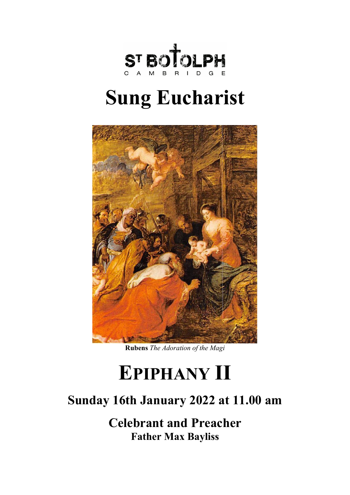

# **Sung Eucharist**



**Rubens** *The Adoration of the Magi* 

## **EPIPHANY II**

### **Sunday 16th January 2022 at 11.00 am**

**Celebrant and Preacher Father Max Bayliss**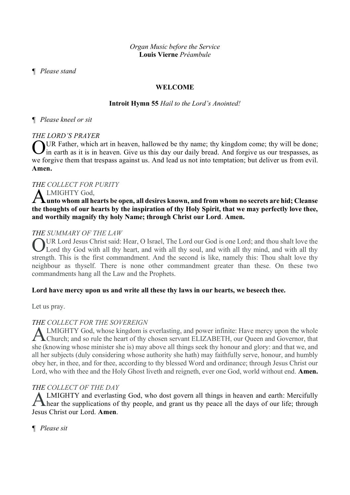*¶ Please stand*

### **WELCOME**

#### **Introit Hymn 55** *Hail to the Lord's Anointed!*

#### *¶ Please kneel or sit*

#### *THE LORD'S PRAYER*

UR Father, which art in heaven, hallowed be thy name; thy kingdom come; thy will be done; In earth as it is in heaven. Give us this day our daily bread. And forgive us our trespasses, as we forgive them that trespass against us. And lead us not into temptation; but deliver us from evil. **Amen.** O

#### *THE COLLECT FOR PURITY*

#### LMIGHTY God,

**unto whom all hearts be open, all desires known, and from whom no secrets are hid; Cleanse the thoughts of our hearts by the inspiration of thy Holy Spirit, that we may perfectly love thee, and worthily magnify thy holy Name; through Christ our Lord**. **Amen.**  A

#### *THE SUMMARY OF THE LAW*

OUR Lord Jesus Christ said: Hear, O Israel, The Lord our God is one Lord; and thou shalt love the Lord thy God with all thy heart, and with all thy soul, and with all thy mind, and with all thy Lord thy God with all thy heart, and with all thy soul, and with all thy mind, and with all thy strength. This is the first commandment. And the second is like, namely this: Thou shalt love thy neighbour as thyself. There is none other commandment greater than these. On these two commandments hang all the Law and the Prophets.

#### **Lord have mercy upon us and write all these thy laws in our hearts, we beseech thee.**

Let us pray.

#### *THE COLLECT FOR THE SOVEREIGN*

LMIGHTY God, whose kingdom is everlasting, and power infinite: Have mercy upon the whole ALMIGHTY God, whose kingdom is everlasting, and power infinite: Have mercy upon the whole<br>Church; and so rule the heart of thy chosen servant ELIZABETH, our Queen and Governor, that she (knowing whose minister she is) may above all things seek thy honour and glory: and that we, and all her subjects (duly considering whose authority she hath) may faithfully serve, honour, and humbly obey her, in thee, and for thee, according to thy blessed Word and ordinance; through Jesus Christ our Lord, who with thee and the Holy Ghost liveth and reigneth, ever one God, world without end. **Amen.**

#### *THE COLLECT OF THE DAY*

LMIGHTY and everlasting God, who dost govern all things in heaven and earth: Mercifully ALMIGHTY and everlasting God, who dost govern all things in heaven and earth: Mercifully hear the supplications of thy people, and grant us thy peace all the days of our life; through Jesus Christ our Lord. **Amen**.

*¶ Please sit*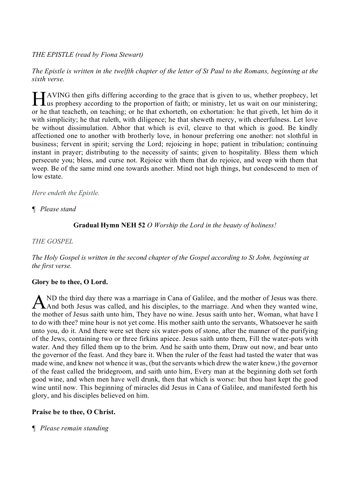#### *THE EPISTLE (read by Fiona Stewart)*

*The Epistle is written in the twelfth chapter of the letter of St Paul to the Romans, beginning at the sixth verse.*

AVING then gifts differing according to the grace that is given to us, whether prophecy, let HAVING then gifts differing according to the grace that is given to us, whether prophecy, let us prophesy according to the proportion of faith; or ministry, let us wait on our ministering; or he that teacheth, on teaching; or he that exhorteth, on exhortation: he that giveth, let him do it with simplicity; he that ruleth, with diligence; he that sheweth mercy, with cheerfulness. Let love be without dissimulation. Abhor that which is evil, cleave to that which is good. Be kindly affectioned one to another with brotherly love, in honour preferring one another: not slothful in business; fervent in spirit; serving the Lord; rejoicing in hope; patient in tribulation; continuing instant in prayer; distributing to the necessity of saints; given to hospitality. Bless them which persecute you; bless, and curse not. Rejoice with them that do rejoice, and weep with them that weep. Be of the same mind one towards another. Mind not high things, but condescend to men of low estate.

*Here endeth the Epistle.*

*¶ Please stand*

**Gradual Hymn NEH 52** *O Worship the Lord in the beauty of holiness!*

#### *THE GOSPEL*

*The Holy Gospel is written in the second chapter of the Gospel according to St John, beginning at the first verse.*

#### **Glory be to thee, O Lord.**

ND the third day there was a marriage in Cana of Galilee, and the mother of Jesus was there. AND the third day there was a marriage in Cana of Galilee, and the mother of Jesus was there.<br>And both Jesus was called, and his disciples, to the marriage. And when they wanted wine, the mother of Jesus saith unto him, They have no wine. Jesus saith unto her, Woman, what have I to do with thee? mine hour is not yet come. His mother saith unto the servants, Whatsoever he saith unto you, do it. And there were set there six water-pots of stone, after the manner of the purifying of the Jews, containing two or three firkins apiece. Jesus saith unto them, Fill the water-pots with water. And they filled them up to the brim. And he saith unto them, Draw out now, and bear unto the governor of the feast. And they bare it. When the ruler of the feast had tasted the water that was made wine, and knew not whence it was, (but the servants which drew the water knew,) the governor of the feast called the bridegroom, and saith unto him, Every man at the beginning doth set forth good wine, and when men have well drunk, then that which is worse: but thou hast kept the good wine until now. This beginning of miracles did Jesus in Cana of Galilee, and manifested forth his glory, and his disciples believed on him.

#### **Praise be to thee, O Christ.**

*¶ Please remain standing*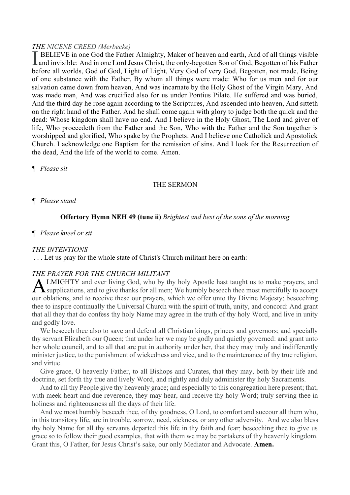#### *THE NICENE CREED (Merbecke)*

BELIEVE in one God the Father Almighty, Maker of heaven and earth, And of all things visible **AND INSTERT CHILE (NOTE COON)**<br> **And invisible:** And in one Lord Jesus Christ, the only-begotten Son of God, Begotten of his Father before all worlds, God of God, Light of Light, Very God of very God, Begotten, not made, Being of one substance with the Father, By whom all things were made: Who for us men and for our salvation came down from heaven, And was incarnate by the Holy Ghost of the Virgin Mary, And was made man, And was crucified also for us under Pontius Pilate. He suffered and was buried, And the third day he rose again according to the Scriptures, And ascended into heaven, And sitteth on the right hand of the Father. And he shall come again with glory to judge both the quick and the dead: Whose kingdom shall have no end. And I believe in the Holy Ghost, The Lord and giver of life, Who proceedeth from the Father and the Son, Who with the Father and the Son together is worshipped and glorified, Who spake by the Prophets. And I believe one Catholick and Apostolick Church. I acknowledge one Baptism for the remission of sins. And I look for the Resurrection of the dead, And the life of the world to come. Amen.

*¶ Please sit*

#### THE SERMON

#### *¶ Please stand*

#### **Offertory Hymn NEH 49 (tune ii)** *Brightest and best of the sons of the morning*

#### *¶ Please kneel or sit*

#### *THE INTENTIONS*

. . . Let us pray for the whole state of Christ's Church militant here on earth:

#### *THE PRAYER FOR THE CHURCH MILITANT*

LMIGHTY and ever living God, who by thy holy Apostle hast taught us to make prayers, and **ALMIGHTY** and ever living God, who by thy holy Apostle hast taught us to make prayers, and supplications, and to give thanks for all men; We humbly beseech thee most mercifully to accept our oblations, and to receive these our prayers, which we offer unto thy Divine Majesty; beseeching thee to inspire continually the Universal Church with the spirit of truth, unity, and concord: And grant that all they that do confess thy holy Name may agree in the truth of thy holy Word, and live in unity and godly love.

We beseech thee also to save and defend all Christian kings, princes and governors; and specially thy servant Elizabeth our Queen; that under her we may be godly and quietly governed: and grant unto her whole council, and to all that are put in authority under her, that they may truly and indifferently minister justice, to the punishment of wickedness and vice, and to the maintenance of thy true religion, and virtue.

Give grace, O heavenly Father, to all Bishops and Curates, that they may, both by their life and doctrine, set forth thy true and lively Word, and rightly and duly administer thy holy Sacraments.

And to all thy People give thy heavenly grace; and especially to this congregation here present; that, with meek heart and due reverence, they may hear, and receive thy holy Word; truly serving thee in holiness and righteousness all the days of their life.

And we most humbly beseech thee, of thy goodness, O Lord, to comfort and succour all them who, in this transitory life, are in trouble, sorrow, need, sickness, or any other adversity. And we also bless thy holy Name for all thy servants departed this life in thy faith and fear; beseeching thee to give us grace so to follow their good examples, that with them we may be partakers of thy heavenly kingdom. Grant this, O Father, for Jesus Christ's sake, our only Mediator and Advocate. **Amen.**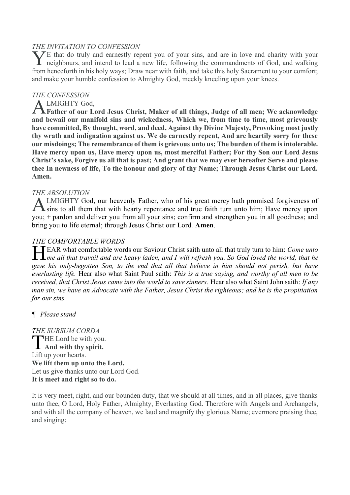#### *THE INVITATION TO CONFESSION*

 $\sqrt{\ }E$  that do truly and earnestly repent you of your sins, and are in love and charity with your The that do truly and earnestly repent you of your sins, and are in love and charity with your neighbours, and intend to lead a new life, following the commandments of God, and walking from henceforth in his holy ways; Draw near with faith, and take this holy Sacrament to your comfort; and make your humble confession to Almighty God, meekly kneeling upon your knees.

#### *THE CONFESSION*

LMIGHTY God,

**Father of our Lord Jesus Christ, Maker of all things, Judge of all men; We acknowledge and bewail our manifold sins and wickedness, Which we, from time to time, most grievously have committed, By thought, word, and deed, Against thy Divine Majesty, Provoking most justly thy wrath and indignation against us. We do earnestly repent, And are heartily sorry for these our misdoings; The remembrance of them is grievous unto us; The burden of them is intolerable. Have mercy upon us, Have mercy upon us, most merciful Father; For thy Son our Lord Jesus Christ's sake, Forgive us all that is past; And grant that we may ever hereafter Serve and please thee In newness of life, To the honour and glory of thy Name; Through Jesus Christ our Lord. Amen.**  A

#### *THE ABSOLUTION*

LMIGHTY God, our heavenly Father, who of his great mercy hath promised forgiveness of ALMIGHTY God, our heavenly Father, who of his great mercy hath promised forgiveness of Sins to all them that with hearty repentance and true faith turn unto him; Have mercy upon you; + pardon and deliver you from all your sins; confirm and strengthen you in all goodness; and bring you to life eternal; through Jesus Christ our Lord. **Amen**.

#### *THE COMFORTABLE WORDS*

EAR what comfortable words our Saviour Christ saith unto all that truly turn to him: *Come unto*  $\prod_{me}$  *all that travail and are heavy laden, and I will refresh you. So God loved the world, that he me all that travail and are heavy laden, and I will refresh you. So God loved the world, that he gave his only-begotten Son, to the end that all that believe in him should not perish, but have everlasting life.* Hear also what Saint Paul saith: *This is a true saying, and worthy of all men to be received, that Christ Jesus came into the world to save sinners.* Hear also what Saint John saith: *If any man sin, we have an Advocate with the Father, Jesus Christ the righteous; and he is the propitiation for our sins.*

#### *¶ Please stand*

*THE SURSUM CORDA* **HE** Lord be with you. **And with thy spirit.** Lift up your hearts. **We lift them up unto the Lord.** Let us give thanks unto our Lord God. **It is meet and right so to do.** 

It is very meet, right, and our bounden duty, that we should at all times, and in all places, give thanks unto thee, O Lord, Holy Father, Almighty, Everlasting God. Therefore with Angels and Archangels, and with all the company of heaven, we laud and magnify thy glorious Name; evermore praising thee, and singing: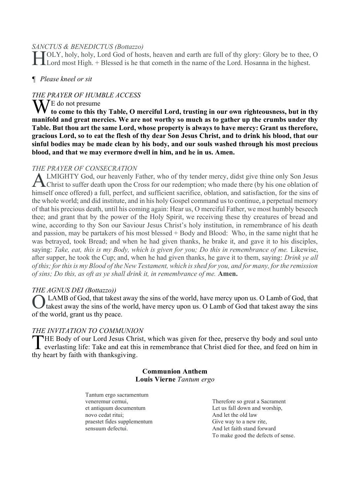#### *SANCTUS & BENEDICTUS (Bottazzo)*

OLY, holy, holy, Lord God of hosts, heaven and earth are full of thy glory: Glory be to thee, O Lord most High. + Blessed is he that cometh in the name of the Lord. Hosanna in the highest.

#### *¶ Please kneel or sit*

#### *THE PRAYER OF HUMBLE ACCESS*

W<sup>E</sup> do not presume **to come to this thy Table, O merciful Lord, trusting in our own righteousness, but in thy manifold and great mercies. We are not worthy so much as to gather up the crumbs under thy Table. But thou art the same Lord, whose property is always to have mercy: Grant us therefore, gracious Lord, so to eat the flesh of thy dear Son Jesus Christ, and to drink his blood, that our sinful bodies may be made clean by his body, and our souls washed through his most precious blood, and that we may evermore dwell in him, and he in us. Amen.**

#### *THE PRAYER OF CONSECRATION*

LMIGHTY God, our heavenly Father, who of thy tender mercy, didst give thine only Son Jesus ALMIGHTY God, our heavenly Father, who of thy tender mercy, didst give thine only Son Jesus Christ to suffer death upon the Cross for our redemption; who made there (by his one oblation of himself once offered) a full, perfect, and sufficient sacrifice, oblation, and satisfaction, for the sins of the whole world; and did institute, and in his holy Gospel command us to continue, a perpetual memory of that his precious death, until his coming again: Hear us, O merciful Father, we most humbly beseech thee; and grant that by the power of the Holy Spirit, we receiving these thy creatures of bread and wine, according to thy Son our Saviour Jesus Christ's holy institution, in remembrance of his death and passion, may be partakers of his most blessed + Body and Blood: Who, in the same night that he was betrayed, took Bread; and when he had given thanks, he brake it, and gave it to his disciples, saying: *Take, eat, this is my Body, which is given for you; Do this in remembrance of me. Likewise,* after supper, he took the Cup; and, when he had given thanks, he gave it to them, saying: *Drink ye all of this; for this is my Blood of the New Testament, which is shed for you, and for many, for the remission of sins; Do this, as oft as ye shall drink it, in remembrance of me.* **Amen.**

#### *THE AGNUS DEI (Bottazzo))*

LAMB of God, that takest away the sins of the world, have mercy upon us. O Lamb of God, that takest away the sins of the world, have mercy upon us. O Lamb of God that takest away the sins of the world, grant us thy peace. O

#### *THE INVITATION TO COMMUNION*

HE Body of our Lord Jesus Christ, which was given for thee, preserve thy body and soul unto THE Body of our Lord Jesus Christ, which was given for thee, preserve thy body and soul unto everlasting life: Take and eat this in remembrance that Christ died for thee, and feed on him in thy heart by faith with thanksgiving.

#### **Communion Anthem Louis Vierne** *Tantum ergo*

Tantum ergo sacramentum veneremur cernui, et antiquum documentum novo cedat ritui; praestet fides supplementum sensuum defectui.

Therefore so great a Sacrament Let us fall down and worship, And let the old law Give way to a new rite, And let faith stand forward To make good the defects of sense.